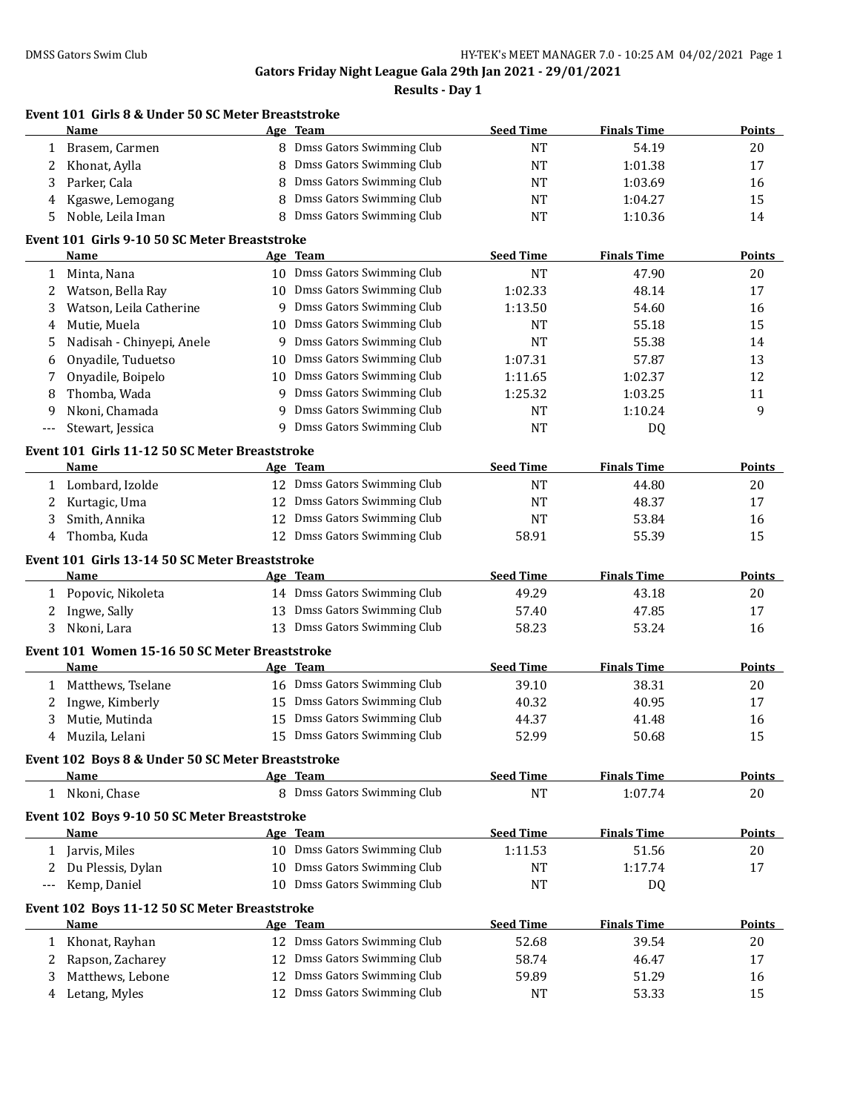|        | Event 101 Girls 8 & Under 50 SC Meter Breaststroke<br>Name |    | Age Team                                                     | <b>Seed Time</b> | <b>Finals Time</b> | Points        |
|--------|------------------------------------------------------------|----|--------------------------------------------------------------|------------------|--------------------|---------------|
| 1      | Brasem, Carmen                                             |    | 8 Dmss Gators Swimming Club                                  | <b>NT</b>        | 54.19              | 20            |
| 2      | Khonat, Aylla                                              | 8  | Dmss Gators Swimming Club                                    | <b>NT</b>        | 1:01.38            | 17            |
| 3      | Parker, Cala                                               | 8  | Dmss Gators Swimming Club                                    | <b>NT</b>        | 1:03.69            | 16            |
| 4      | Kgaswe, Lemogang                                           | 8  | Dmss Gators Swimming Club                                    | <b>NT</b>        | 1:04.27            | 15            |
| 5      | Noble, Leila Iman                                          | 8  | Dmss Gators Swimming Club                                    | <b>NT</b>        | 1:10.36            | 14            |
|        | Event 101 Girls 9-10 50 SC Meter Breaststroke              |    |                                                              |                  |                    |               |
|        | Name                                                       |    | Age Team                                                     | <b>Seed Time</b> | <b>Finals Time</b> | Points        |
| 1      | Minta, Nana                                                |    | 10 Dmss Gators Swimming Club                                 | <b>NT</b>        | 47.90              | 20            |
| 2      | Watson, Bella Ray                                          |    | 10 Dmss Gators Swimming Club                                 | 1:02.33          | 48.14              | 17            |
| 3      | Watson, Leila Catherine                                    | 9  | Dmss Gators Swimming Club                                    | 1:13.50          | 54.60              | 16            |
| 4      | Mutie, Muela                                               | 10 | Dmss Gators Swimming Club                                    | NT               | 55.18              | 15            |
| 5      | Nadisah - Chinyepi, Anele                                  | 9  | Dmss Gators Swimming Club                                    | <b>NT</b>        | 55.38              | 14            |
| 6      | Onyadile, Tuduetso                                         | 10 | Dmss Gators Swimming Club                                    | 1:07.31          | 57.87              | 13            |
| 7      | Onyadile, Boipelo                                          | 10 | Dmss Gators Swimming Club                                    | 1:11.65          | 1:02.37            | 12            |
| 8      | Thomba, Wada                                               | 9  | Dmss Gators Swimming Club                                    | 1:25.32          | 1:03.25            | 11            |
| 9      | Nkoni, Chamada                                             | 9  | Dmss Gators Swimming Club                                    | NT               | 1:10.24            | 9             |
| $---$  | Stewart, Jessica                                           | 9  | Dmss Gators Swimming Club                                    | <b>NT</b>        | DQ                 |               |
|        |                                                            |    |                                                              |                  |                    |               |
|        | Event 101 Girls 11-12 50 SC Meter Breaststroke             |    |                                                              |                  | <b>Finals Time</b> | Points        |
|        | Name                                                       |    | Age Team                                                     | <b>Seed Time</b> |                    |               |
| 1      | Lombard, Izolde                                            |    | 12 Dmss Gators Swimming Club                                 | <b>NT</b>        | 44.80              | 20            |
| 2      | Kurtagic, Uma                                              | 12 | Dmss Gators Swimming Club                                    | <b>NT</b>        | 48.37              | 17            |
| 3      | Smith, Annika                                              | 12 | Dmss Gators Swimming Club                                    | <b>NT</b>        | 53.84              | 16            |
| 4      | Thomba, Kuda                                               |    | 12 Dmss Gators Swimming Club                                 | 58.91            | 55.39              | 15            |
|        | Event 101 Girls 13-14 50 SC Meter Breaststroke             |    |                                                              |                  |                    |               |
|        | Name                                                       |    | Age Team                                                     | <b>Seed Time</b> | <b>Finals Time</b> | <b>Points</b> |
|        | 1 Popovic, Nikoleta                                        |    | 14 Dmss Gators Swimming Club                                 | 49.29            | 43.18              | 20            |
| 2      | Ingwe, Sally                                               |    | 13 Dmss Gators Swimming Club                                 | 57.40            | 47.85              | 17            |
| 3      | Nkoni, Lara                                                | 13 | Dmss Gators Swimming Club                                    | 58.23            | 53.24              | 16            |
|        | Event 101 Women 15-16 50 SC Meter Breaststroke             |    |                                                              |                  |                    |               |
|        | Name                                                       |    | Age Team                                                     | <b>Seed Time</b> | <b>Finals Time</b> | Points        |
| 1      | Matthews, Tselane                                          |    | 16 Dmss Gators Swimming Club                                 | 39.10            | 38.31              | 20            |
| 2      | Ingwe, Kimberly                                            |    | 15 Dmss Gators Swimming Club                                 | 40.32            | 40.95              | 17            |
| 3      | Mutie, Mutinda                                             |    | 15 Dmss Gators Swimming Club                                 | 44.37            | 41.48              | 16            |
|        | 4 Muzila, Lelani                                           |    | 15 Dmss Gators Swimming Club                                 | 52.99            | 50.68              | 15            |
|        | Event 102 Boys 8 & Under 50 SC Meter Breaststroke          |    |                                                              |                  |                    |               |
|        | <b>Name</b>                                                |    | Age Team                                                     | <b>Seed Time</b> | <b>Finals Time</b> | <b>Points</b> |
|        | 1 Nkoni, Chase                                             |    | 8 Dmss Gators Swimming Club                                  | <b>NT</b>        | 1:07.74            | 20            |
|        | Event 102 Boys 9-10 50 SC Meter Breaststroke               |    |                                                              |                  |                    |               |
|        | Name                                                       |    | Age Team                                                     | <b>Seed Time</b> | <b>Finals Time</b> | <b>Points</b> |
| 1      | Jarvis, Miles                                              |    | 10 Dmss Gators Swimming Club                                 | 1:11.53          | 51.56              | 20            |
| 2      | Du Plessis, Dylan                                          |    | 10 Dmss Gators Swimming Club                                 | <b>NT</b>        | 1:17.74            | 17            |
|        |                                                            |    | 10 Dmss Gators Swimming Club                                 | NT               | DQ                 |               |
| ---    | Kemp, Daniel                                               |    |                                                              |                  |                    |               |
|        |                                                            |    |                                                              |                  |                    |               |
|        | Event 102 Boys 11-12 50 SC Meter Breaststroke<br>Name      |    |                                                              |                  |                    |               |
|        |                                                            |    | Age Team                                                     | <b>Seed Time</b> | <b>Finals Time</b> | <b>Points</b> |
|        | 1 Khonat, Rayhan                                           |    | 12 Dmss Gators Swimming Club                                 | 52.68            | 39.54              | 20            |
| 2<br>3 | Rapson, Zacharey<br>Matthews, Lebone                       |    | 12 Dmss Gators Swimming Club<br>12 Dmss Gators Swimming Club | 58.74<br>59.89   | 46.47<br>51.29     | 17<br>16      |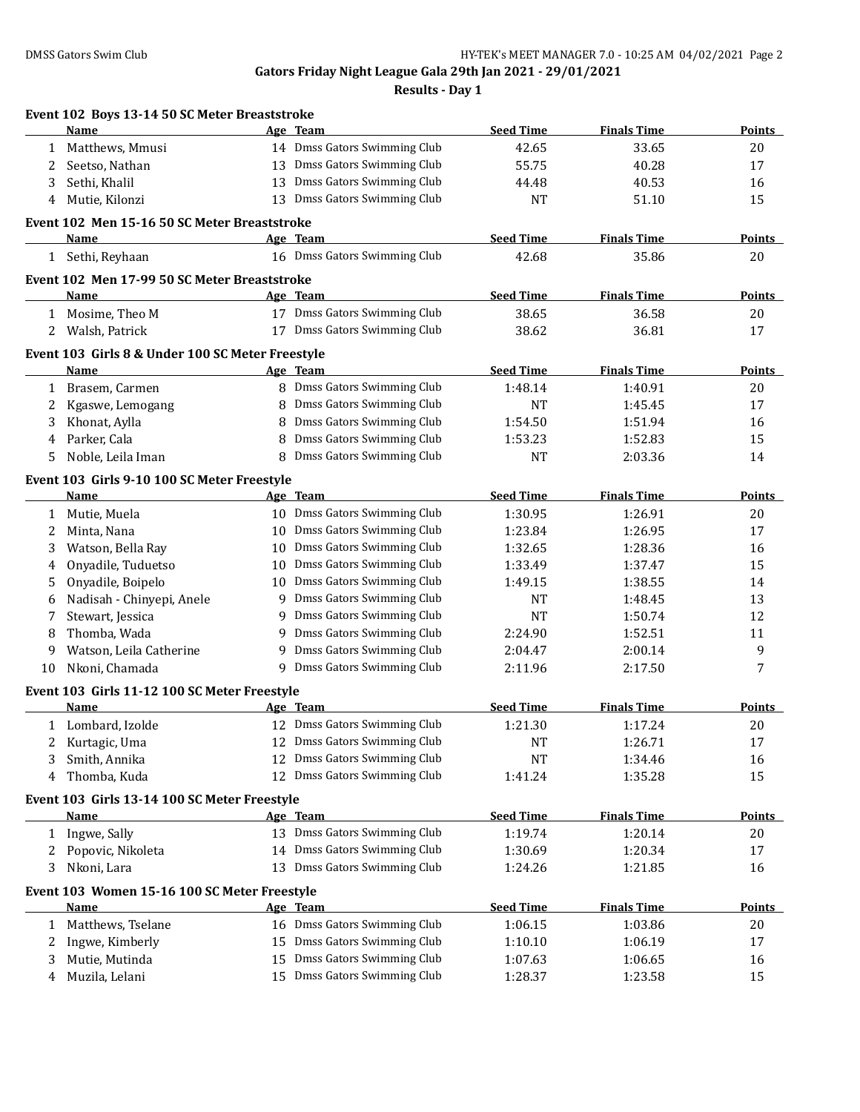|              | Event 102 Boys 13-14 50 SC Meter Breaststroke<br>Name |    | Age Team                     | <b>Seed Time</b> | <b>Finals Time</b> | Points        |
|--------------|-------------------------------------------------------|----|------------------------------|------------------|--------------------|---------------|
| 1            | Matthews, Mmusi                                       |    | 14 Dmss Gators Swimming Club | 42.65            | 33.65              | 20            |
| 2            | Seetso, Nathan                                        | 13 | Dmss Gators Swimming Club    | 55.75            | 40.28              | 17            |
| 3            | Sethi, Khalil                                         | 13 | Dmss Gators Swimming Club    | 44.48            | 40.53              | 16            |
|              |                                                       | 13 | Dmss Gators Swimming Club    |                  |                    |               |
| 4            | Mutie, Kilonzi                                        |    |                              | <b>NT</b>        | 51.10              | 15            |
|              | Event 102 Men 15-16 50 SC Meter Breaststroke          |    |                              |                  |                    |               |
|              | Name                                                  |    | Age Team                     | <b>Seed Time</b> | <b>Finals Time</b> | <b>Points</b> |
|              | 1 Sethi, Reyhaan                                      |    | 16 Dmss Gators Swimming Club | 42.68            | 35.86              | 20            |
|              | Event 102 Men 17-99 50 SC Meter Breaststroke          |    |                              |                  |                    |               |
|              | Name                                                  |    | Age Team                     | <b>Seed Time</b> | <b>Finals Time</b> | <b>Points</b> |
|              | 1 Mosime, Theo M                                      |    | 17 Dmss Gators Swimming Club | 38.65            | 36.58              | 20            |
| 2            | Walsh, Patrick                                        |    | 17 Dmss Gators Swimming Club | 38.62            | 36.81              | 17            |
|              | Event 103 Girls 8 & Under 100 SC Meter Freestyle      |    |                              |                  |                    |               |
|              | Name                                                  |    | Age Team                     | <b>Seed Time</b> | <b>Finals Time</b> | Points        |
| 1            | Brasem, Carmen                                        |    | 8 Dmss Gators Swimming Club  | 1:48.14          | 1:40.91            | 20            |
| 2            | Kgaswe, Lemogang                                      | 8  | Dmss Gators Swimming Club    | <b>NT</b>        | 1:45.45            | 17            |
| 3            | Khonat, Aylla                                         | 8  | Dmss Gators Swimming Club    | 1:54.50          | 1:51.94            | 16            |
| 4            | Parker, Cala                                          | 8  | Dmss Gators Swimming Club    | 1:53.23          | 1:52.83            | 15            |
| 5            | Noble, Leila Iman                                     | 8  | Dmss Gators Swimming Club    | <b>NT</b>        | 2:03.36            | 14            |
|              | Event 103 Girls 9-10 100 SC Meter Freestyle           |    |                              |                  |                    |               |
|              | Name                                                  |    | Age Team                     | <b>Seed Time</b> | <b>Finals Time</b> | <b>Points</b> |
| 1            | Mutie, Muela                                          |    | 10 Dmss Gators Swimming Club | 1:30.95          | 1:26.91            | 20            |
| 2            | Minta, Nana                                           | 10 | Dmss Gators Swimming Club    | 1:23.84          | 1:26.95            | 17            |
| 3            | Watson, Bella Ray                                     | 10 | Dmss Gators Swimming Club    | 1:32.65          | 1:28.36            | 16            |
| 4            | Onyadile, Tuduetso                                    | 10 | Dmss Gators Swimming Club    | 1:33.49          | 1:37.47            | 15            |
| 5            | Onyadile, Boipelo                                     | 10 | Dmss Gators Swimming Club    | 1:49.15          | 1:38.55            | 14            |
| 6            | Nadisah - Chinyepi, Anele                             | 9  | Dmss Gators Swimming Club    | <b>NT</b>        | 1:48.45            | 13            |
| 7            | Stewart, Jessica                                      | 9  | Dmss Gators Swimming Club    | NT               | 1:50.74            | 12            |
| 8            | Thomba, Wada                                          | 9  | Dmss Gators Swimming Club    | 2:24.90          | 1:52.51            | 11            |
| 9            | Watson, Leila Catherine                               | 9  | Dmss Gators Swimming Club    | 2:04.47          | 2:00.14            | 9             |
| 10           | Nkoni, Chamada                                        |    | 9 Dmss Gators Swimming Club  | 2:11.96          | 2:17.50            | 7             |
|              |                                                       |    |                              |                  |                    |               |
|              | Event 103 Girls 11-12 100 SC Meter Freestyle          |    |                              |                  |                    |               |
|              | Name                                                  |    | Age Team                     | <b>Seed Time</b> | <b>Finals Time</b> | Points        |
|              | 1 Lombard, Izolde                                     |    | 12 Dmss Gators Swimming Club | 1:21.30          | 1:17.24            | 20            |
| 2            | Kurtagic, Uma                                         |    | 12 Dmss Gators Swimming Club | NT               | 1:26.71            | 17            |
| 3            | Smith, Annika                                         | 12 | Dmss Gators Swimming Club    | <b>NT</b>        | 1:34.46            | 16            |
| 4            | Thomba, Kuda                                          | 12 | Dmss Gators Swimming Club    | 1:41.24          | 1:35.28            | 15            |
|              | Event 103 Girls 13-14 100 SC Meter Freestyle          |    |                              |                  |                    |               |
|              | Name                                                  |    | Age Team                     | <b>Seed Time</b> | <b>Finals Time</b> | <b>Points</b> |
| 1            | Ingwe, Sally                                          |    | 13 Dmss Gators Swimming Club | 1:19.74          | 1:20.14            | 20            |
| 2            | Popovic, Nikoleta                                     |    | 14 Dmss Gators Swimming Club | 1:30.69          | 1:20.34            | 17            |
| 3            | Nkoni, Lara                                           | 13 | Dmss Gators Swimming Club    | 1:24.26          | 1:21.85            | 16            |
|              | Event 103 Women 15-16 100 SC Meter Freestyle          |    |                              |                  |                    |               |
|              | Name                                                  |    | Age Team                     | <b>Seed Time</b> | <b>Finals Time</b> | <b>Points</b> |
| $\mathbf{1}$ | Matthews, Tselane                                     |    | 16 Dmss Gators Swimming Club | 1:06.15          | 1:03.86            | 20            |
| 2            | Ingwe, Kimberly                                       | 15 | Dmss Gators Swimming Club    | 1:10.10          | 1:06.19            | 17            |
| 3            | Mutie, Mutinda                                        | 15 | Dmss Gators Swimming Club    | 1:07.63          | 1:06.65            | 16            |
|              | Muzila, Lelani                                        | 15 | Dmss Gators Swimming Club    | 1:28.37          | 1:23.58            | 15            |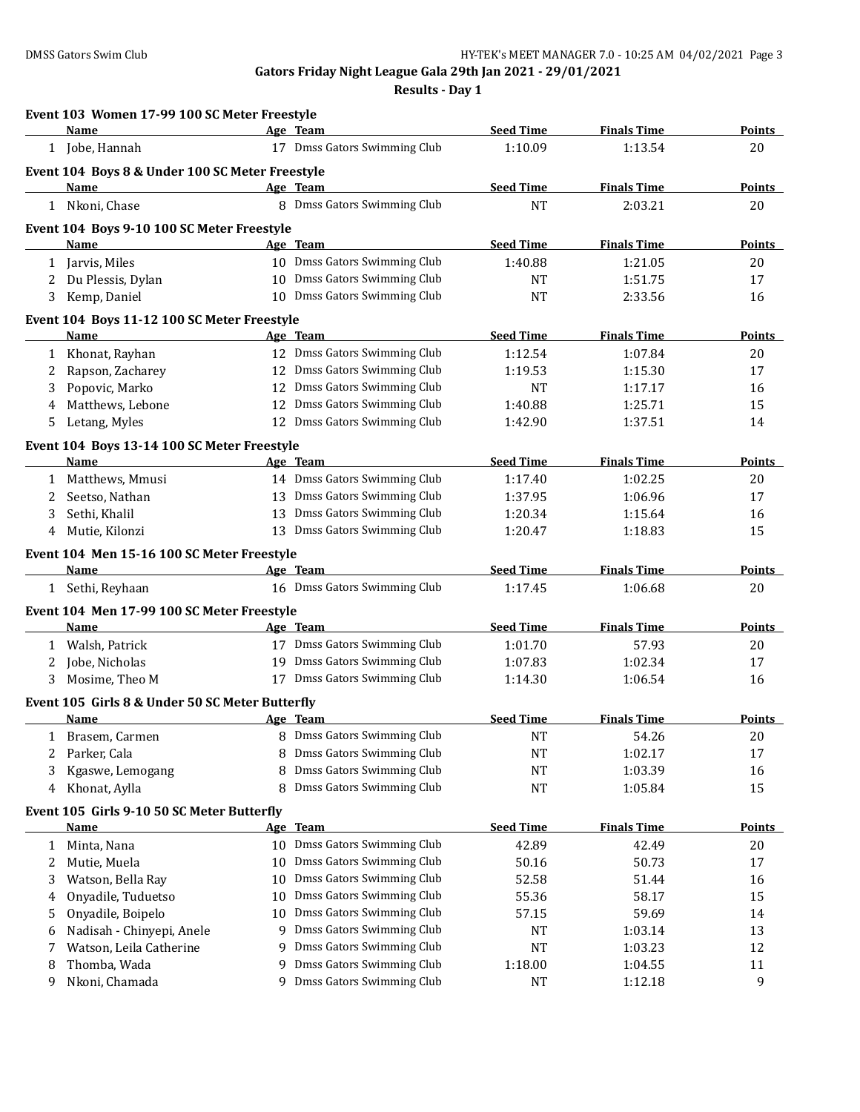|   | Event 103 Women 17-99 100 SC Meter Freestyle    |    |                                                        | <b>Seed Time</b> | <b>Finals Time</b> |                     |
|---|-------------------------------------------------|----|--------------------------------------------------------|------------------|--------------------|---------------------|
|   | Name                                            |    | Age Team<br>17 Dmss Gators Swimming Club               |                  |                    | <b>Points</b>       |
|   | 1 Jobe, Hannah                                  |    |                                                        | 1:10.09          | 1:13.54            | 20                  |
|   | Event 104 Boys 8 & Under 100 SC Meter Freestyle |    |                                                        |                  |                    |                     |
|   | Name                                            |    | Age Team                                               | <b>Seed Time</b> | <b>Finals Time</b> | Points              |
|   | 1 Nkoni, Chase                                  |    | 8 Dmss Gators Swimming Club                            | <b>NT</b>        | 2:03.21            | 20                  |
|   | Event 104 Boys 9-10 100 SC Meter Freestyle      |    |                                                        |                  |                    |                     |
|   | <u>Name</u>                                     |    | Age Team                                               | <b>Seed Time</b> | <b>Finals Time</b> | <b>Points</b>       |
| 1 | Jarvis, Miles                                   |    | 10 Dmss Gators Swimming Club                           | 1:40.88          | 1:21.05            | 20                  |
| 2 | Du Plessis, Dylan                               |    | 10 Dmss Gators Swimming Club                           | NT               | 1:51.75            | 17                  |
| 3 | Kemp, Daniel                                    |    | 10 Dmss Gators Swimming Club                           | <b>NT</b>        | 2:33.56            | 16                  |
|   | Event 104 Boys 11-12 100 SC Meter Freestyle     |    |                                                        |                  |                    |                     |
|   | <b>Name</b>                                     |    | Age Team                                               | <b>Seed Time</b> | <b>Finals Time</b> | Points              |
| 1 | Khonat, Rayhan                                  |    | 12 Dmss Gators Swimming Club                           | 1:12.54          | 1:07.84            | 20                  |
| 2 | Rapson, Zacharey                                | 12 | Dmss Gators Swimming Club                              | 1:19.53          | 1:15.30            | 17                  |
| 3 | Popovic, Marko                                  | 12 | Dmss Gators Swimming Club                              | <b>NT</b>        | 1:17.17            | 16                  |
| 4 | Matthews, Lebone                                | 12 | Dmss Gators Swimming Club                              | 1:40.88          | 1:25.71            | 15                  |
| 5 | Letang, Myles                                   |    | 12 Dmss Gators Swimming Club                           | 1:42.90          | 1:37.51            | 14                  |
|   | Event 104 Boys 13-14 100 SC Meter Freestyle     |    |                                                        |                  |                    |                     |
|   | Name                                            |    | Age Team                                               | <b>Seed Time</b> | <b>Finals Time</b> | <b>Points</b>       |
| 1 | Matthews, Mmusi                                 |    | 14 Dmss Gators Swimming Club                           | 1:17.40          | 1:02.25            | 20                  |
| 2 | Seetso, Nathan                                  |    | 13 Dmss Gators Swimming Club                           | 1:37.95          | 1:06.96            | 17                  |
| 3 | Sethi, Khalil                                   |    | 13 Dmss Gators Swimming Club                           | 1:20.34          | 1:15.64            | 16                  |
| 4 | Mutie, Kilonzi                                  | 13 | Dmss Gators Swimming Club                              | 1:20.47          | 1:18.83            | 15                  |
|   | Event 104 Men 15-16 100 SC Meter Freestyle      |    |                                                        |                  |                    |                     |
|   | Name                                            |    | Age Team                                               | <b>Seed Time</b> | <b>Finals Time</b> | <b>Points</b>       |
|   | 1 Sethi, Reyhaan                                |    | 16 Dmss Gators Swimming Club                           | 1:17.45          | 1:06.68            | 20                  |
|   | Event 104 Men 17-99 100 SC Meter Freestyle      |    |                                                        |                  |                    |                     |
|   | Name                                            |    | Age Team                                               | <b>Seed Time</b> | <b>Finals Time</b> | <b>Points</b>       |
|   | 1 Walsh, Patrick                                |    | 17 Dmss Gators Swimming Club                           | 1:01.70          | 57.93              | 20                  |
| 2 | Jobe, Nicholas                                  |    | 19 Dmss Gators Swimming Club                           | 1:07.83          | 1:02.34            | 17                  |
| 3 | Mosime, Theo M                                  |    | 17 Dmss Gators Swimming Club                           | 1:14.30          | 1:06.54            | 16                  |
|   |                                                 |    |                                                        |                  |                    |                     |
|   | Event 105 Girls 8 & Under 50 SC Meter Butterfly |    |                                                        |                  |                    |                     |
|   | Name                                            |    | Age Team                                               | <b>Seed Time</b> | <b>Finals Time</b> | Points              |
|   | 1 Brasem, Carmen                                |    | 8 Dmss Gators Swimming Club                            | $\rm{NT}$        | 54.26              | 20                  |
|   |                                                 |    |                                                        |                  |                    | 17                  |
| 2 | Parker, Cala                                    |    | 8 Dmss Gators Swimming Club                            | NT               | 1:02.17            |                     |
| 3 | Kgaswe, Lemogang                                |    | Dmss Gators Swimming Club                              | NT               | 1:03.39            | 16                  |
| 4 | Khonat, Aylla                                   | 8  | Dmss Gators Swimming Club                              | <b>NT</b>        | 1:05.84            | 15                  |
|   | Event 105 Girls 9-10 50 SC Meter Butterfly      |    |                                                        |                  |                    |                     |
|   | <u>Name</u>                                     |    | Age Team                                               | <b>Seed Time</b> | <b>Finals Time</b> |                     |
| 1 | Minta, Nana                                     |    | 10 Dmss Gators Swimming Club                           | 42.89            | 42.49              | 20                  |
| 2 | Mutie, Muela                                    |    | 10 Dmss Gators Swimming Club                           | 50.16            | 50.73              | 17                  |
| 3 | Watson, Bella Ray                               | 10 | Dmss Gators Swimming Club                              | 52.58            | 51.44              | 16                  |
| 4 | Onyadile, Tuduetso                              | 10 | Dmss Gators Swimming Club                              | 55.36            | 58.17              | 15                  |
| 5 | Onyadile, Boipelo                               | 10 | Dmss Gators Swimming Club                              | 57.15            | 59.69              | 14                  |
| 6 | Nadisah - Chinyepi, Anele                       | 9  | Dmss Gators Swimming Club                              | NT               | 1:03.14            | 13                  |
| 7 | Watson, Leila Catherine                         | 9  | Dmss Gators Swimming Club                              | <b>NT</b>        | 1:03.23            | 12                  |
| 8 | Thomba, Wada<br>Nkoni, Chamada                  | 9  | Dmss Gators Swimming Club<br>Dmss Gators Swimming Club | 1:18.00          | 1:04.55<br>1:12.18 | <b>Points</b><br>11 |